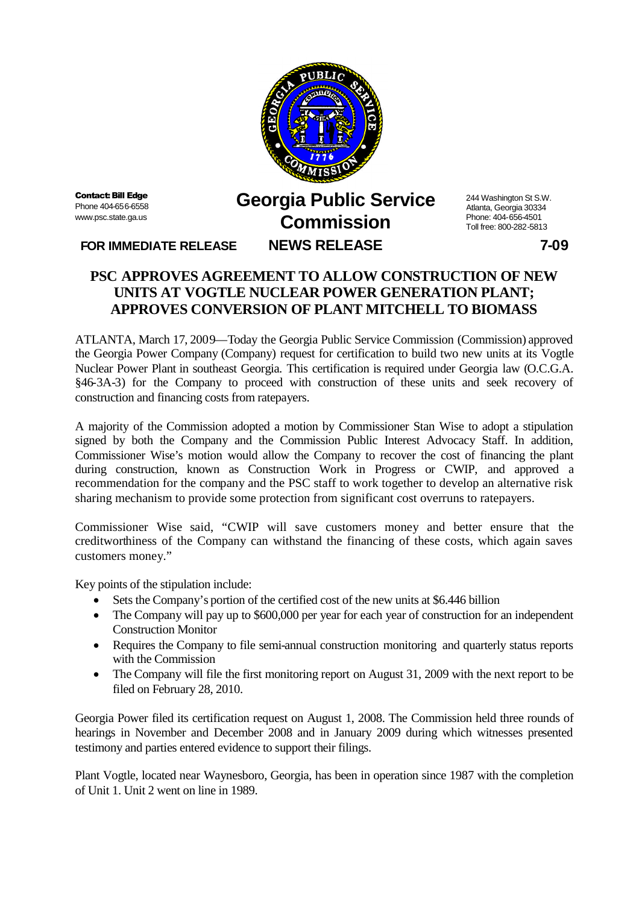

**Contact: Bill Edge** Phone 404-656-6558 www.psc.state.ga.us

## **Georgia Public Service Commission FOR IMMEDIATE RELEASE NEWS RELEASE 7-09**

244 Washington St S.W. Atlanta, Georgia 30334 Phone: 404-656-4501 Toll free: 800-282-5813

## **PSC APPROVES AGREEMENT TO ALLOW CONSTRUCTION OF NEW UNITS AT VOGTLE NUCLEAR POWER GENERATION PLANT; APPROVES CONVERSION OF PLANT MITCHELL TO BIOMASS**

ATLANTA, March 17, 2009—Today the Georgia Public Service Commission (Commission) approved the Georgia Power Company (Company) request for certification to build two new units at its Vogtle Nuclear Power Plant in southeast Georgia. This certification is required under Georgia law (O.C.G.A. §46-3A-3) for the Company to proceed with construction of these units and seek recovery of construction and financing costs from ratepayers.

A majority of the Commission adopted a motion by Commissioner Stan Wise to adopt a stipulation signed by both the Company and the Commission Public Interest Advocacy Staff. In addition, Commissioner Wise's motion would allow the Company to recover the cost of financing the plant during construction, known as Construction Work in Progress or CWIP, and approved a recommendation for the company and the PSC staff to work together to develop an alternative risk sharing mechanism to provide some protection from significant cost overruns to ratepayers.

Commissioner Wise said, "CWIP will save customers money and better ensure that the creditworthiness of the Company can withstand the financing of these costs, which again saves customers money."

Key points of the stipulation include:

- Sets the Company's portion of the certified cost of the new units at \$6.446 billion
- The Company will pay up to \$600,000 per year for each year of construction for an independent Construction Monitor
- Requires the Company to file semi-annual construction monitoring and quarterly status reports with the Commission
- The Company will file the first monitoring report on August 31, 2009 with the next report to be filed on February 28, 2010.

Georgia Power filed its certification request on August 1, 2008. The Commission held three rounds of hearings in November and December 2008 and in January 2009 during which witnesses presented testimony and parties entered evidence to support their filings.

Plant Vogtle, located near Waynesboro, Georgia, has been in operation since 1987 with the completion of Unit 1. Unit 2 went on line in 1989.